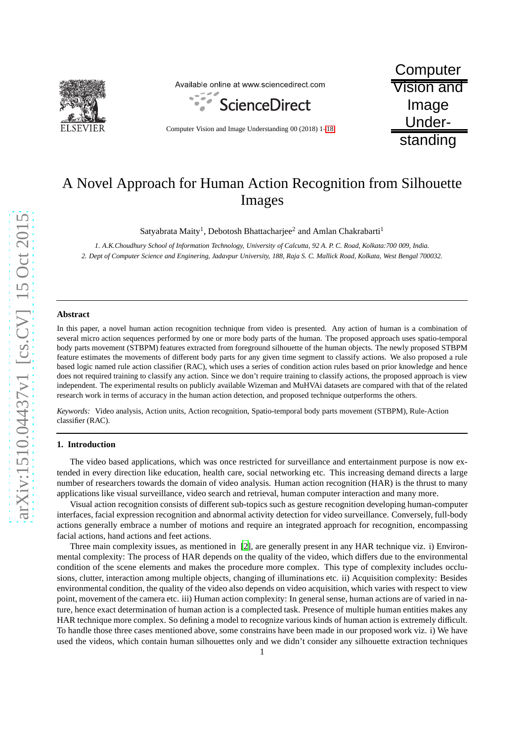

Available online at www.sciencedirect.com



Computer Vision and Image Understanding 00 (2018) 1[–18](#page-16-0)

**Computer** Vision and Image Understanding

# A Novel Approach for Human Action Recognition from Silhouette Images

Satyabrata Maity<sup>1</sup>, Debotosh Bhattacharjee $^2$  and Amlan Chakrabarti $^1$ 

*1. A.K.Choudhury School of Information Technology, University of Calcutta, 92 A. P. C. Road, Kolkata:700 009, India. 2. Dept of Computer Science and Enginering, Jadavpur University, 188, Raja S. C. Mallick Road, Kolkata, West Bengal 700032.*

#### **Abstract**

In this paper, a novel human action recognition technique from video is presented. Any action of human is a combination of several micro action sequences performed by one or more body parts of the human. The proposed approach uses spatio-temporal body parts movement (STBPM) features extracted from foreground silhouette of the human objects. The newly proposed STBPM feature estimates the movements of different body parts for any given time segment to classify actions. We also proposed a rule based logic named rule action classifier (RAC), which uses a series of condition action rules based on prior knowledge and hence does not required training to classify any action. Since we don't require training to classify actions, the proposed approach is view independent. The experimental results on publicly available Wizeman and MuHVAi datasets are compared with that of the related research work in terms of accuracy in the human action detection, and proposed technique outperforms the others.

*Keywords:* Video analysis, Action units, Action recognition, Spatio-temporal body parts movement (STBPM), Rule-Action classifier (RAC).

#### **1. Introduction**

The video based applications, which was once restricted for surveillance and entertainment purpose is now extended in every direction like education, health care, social networking etc. This increasing demand directs a large number of researchers towards the domain of video analysis. Human action recognition (HAR) is the thrust to many applications like visual surveillance, video search and retrieval, human computer interaction and many more.

Visual action recognition consists of different sub-topics such as gesture recognition developing human-computer interfaces, facial expression recognition and abnormal activity detection for video surveillance. Conversely, full-body actions generally embrace a number of motions and require an integrated approach for recognition, encompassing facial actions, hand actions and feet actions.

Three main complexity issues, as mentioned in [\[2\]](#page-16-1), are generally present in any HAR technique viz. i) Environmental complexity: The process of HAR depends on the quality of the video, which differs due to the environmental condition of the scene elements and makes the procedure more complex. This type of complexity includes occlusions, clutter, interaction among multiple objects, changing of illuminations etc. ii) Acquisition complexity: Besides environmental condition, the quality of the video also depends on video acquisition, which varies with respect to view point, movement of the camera etc. iii) Human action complexity: In general sense, human actions are of varied in nature, hence exact determination of human action is a complected task. Presence of multiple human entities makes any HAR technique more complex. So defining a model to recognize various kinds of human action is extremely difficult. To handle those three cases mentioned above, some constrains have been made in our proposed work viz. i) We have used the videos, which contain human silhouettes only and we didn't consider any silhouette extraction techniques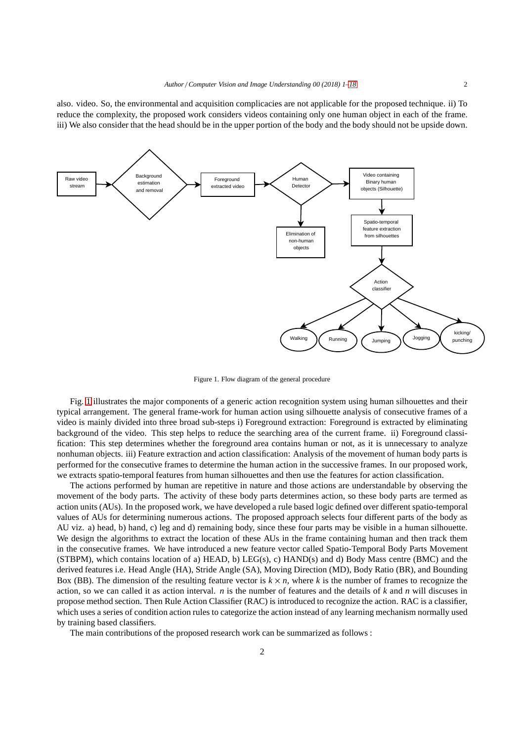also. video. So, the environmental and acquisition complicacies are not applicable for the proposed technique. ii) To reduce the complexity, the proposed work considers videos containing only one human object in each of the frame. iii) We also consider that the head should be in the upper portion of the body and the body should not be upside down.



<span id="page-1-0"></span>Figure 1. Flow diagram of the general procedure

Fig. [1](#page-1-0) illustrates the major components of a generic action recognition system using human silhouettes and their typical arrangement. The general frame-work for human action using silhouette analysis of consecutive frames of a video is mainly divided into three broad sub-steps i) Foreground extraction: Foreground is extracted by eliminating background of the video. This step helps to reduce the searching area of the current frame. ii) Foreground classification: This step determines whether the foreground area contains human or not, as it is unnecessary to analyze nonhuman objects. iii) Feature extraction and action classification: Analysis of the movement of human body parts is performed for the consecutive frames to determine the human action in the successive frames. In our proposed work, we extracts spatio-temporal features from human silhouettes and then use the features for action classification.

The actions performed by human are repetitive in nature and those actions are understandable by observing the movement of the body parts. The activity of these body parts determines action, so these body parts are termed as action units (AUs). In the proposed work, we have developed a rule based logic defined over different spatio-temporal values of AUs for determining numerous actions. The proposed approach selects four different parts of the body as AU viz. a) head, b) hand, c) leg and d) remaining body, since these four parts may be visible in a human silhouette. We design the algorithms to extract the location of these AUs in the frame containing human and then track them in the consecutive frames. We have introduced a new feature vector called Spatio-Temporal Body Parts Movement (STBPM), which contains location of a) HEAD, b) LEG(s), c) HAND(s) and d) Body Mass centre (BMC) and the derived features i.e. Head Angle (HA), Stride Angle (SA), Moving Direction (MD), Body Ratio (BR), and Bounding Box (BB). The dimension of the resulting feature vector is  $k \times n$ , where k is the number of frames to recognize the action, so we can called it as action interval. *n* is the number of features and the details of *k* and *n* will discuses in propose method section. Then Rule Action Classifier (RAC) is introduced to recognize the action. RAC is a classifier, which uses a series of condition action rules to categorize the action instead of any learning mechanism normally used by training based classifiers.

The main contributions of the proposed research work can be summarized as follows :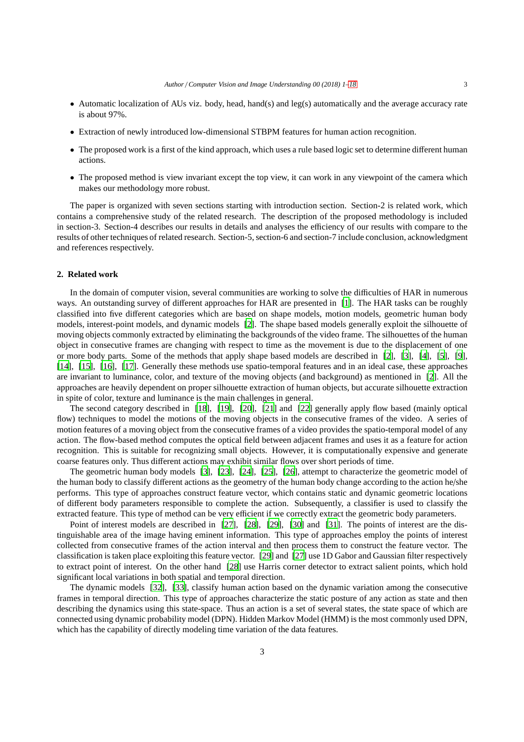- Automatic localization of AUs viz. body, head, hand(s) and leg(s) automatically and the average accuracy rate is about 97%.
- Extraction of newly introduced low-dimensional STBPM features for human action recognition.
- The proposed work is a first of the kind approach, which uses a rule based logic set to determine different human actions.
- The proposed method is view invariant except the top view, it can work in any viewpoint of the camera which makes our methodology more robust.

The paper is organized with seven sections starting with introduction section. Section-2 is related work, which contains a comprehensive study of the related research. The description of the proposed methodology is included in section-3. Section-4 describes our results in details and analyses the efficiency of our results with compare to the results of other techniques of related research. Section-5, section-6 and section-7 include conclusion, acknowledgment and references respectively.

## **2. Related work**

In the domain of computer vision, several communities are working to solve the difficulties of HAR in numerous ways. An outstanding survey of different approaches for HAR are presented in [\[1](#page-16-2)]. The HAR tasks can be roughly classified into five different categories which are based on shape models, motion models, geometric human body models, interest-point models, and dynamic models [\[2\]](#page-16-1). The shape based models generally exploit the silhouette of moving objects commonly extracted by eliminating the backgrounds of the video frame. The silhouettes of the human object in consecutive frames are changing with respect to time as the movement is due to the displacement of one or more body parts. Some of the methods that apply shape based models are described in [\[2\]](#page-16-1), [\[3\]](#page-16-3), [\[4](#page-16-4)], [\[5\]](#page-16-5), [\[9\]](#page-16-6), [\[14\]](#page-17-0), [\[15\]](#page-17-1), [\[16\]](#page-17-2), [\[17\]](#page-17-3). Generally these methods use spatio-temporal features and in an ideal case, these approaches are invariant to luminance, color, and texture of the moving objects (and background) as mentioned in [\[2](#page-16-1)]. All the approaches are heavily dependent on proper silhouette extraction of human objects, but accurate silhouette extraction in spite of color, texture and luminance is the main challenges in general.

The second category described in [\[18\]](#page-17-4), [\[19](#page-17-5)], [\[20\]](#page-17-6), [\[21](#page-17-7)] and [\[22](#page-17-8)] generally apply flow based (mainly optical flow) techniques to model the motions of the moving objects in the consecutive frames of the video. A series of motion features of a moving object from the consecutive frames of a video provides the spatio-temporal model of any action. The flow-based method computes the optical field between adjacent frames and uses it as a feature for action recognition. This is suitable for recognizing small objects. However, it is computationally expensive and generate coarse features only. Thus different actions may exhibit similar flows over short periods of time.

The geometric human body models [\[3\]](#page-16-3), [\[23\]](#page-17-9), [\[24\]](#page-17-10), [\[25\]](#page-17-11), [\[26\]](#page-17-12), attempt to characterize the geometric model of the human body to classify different actions as the geometry of the human body change according to the action he/she performs. This type of approaches construct feature vector, which contains static and dynamic geometric locations of different body parameters responsible to complete the action. Subsequently, a classifier is used to classify the extracted feature. This type of method can be very efficient if we correctly extract the geometric body parameters.

Point of interest models are described in [\[27\]](#page-17-13), [\[28\]](#page-17-14), [\[29](#page-17-15)], [\[30](#page-17-16)] and [\[31](#page-17-17)]. The points of interest are the distinguishable area of the image having eminent information. This type of approaches employ the points of interest collected from consecutive frames of the action interval and then process them to construct the feature vector. The classification is taken place exploiting this feature vector. [\[29\]](#page-17-15) and [\[27\]](#page-17-13) use 1D Gabor and Gaussian filter respectively to extract point of interest. On the other hand [\[28\]](#page-17-14) use Harris corner detector to extract salient points, which hold significant local variations in both spatial and temporal direction.

The dynamic models [\[32\]](#page-17-18), [\[33\]](#page-17-19), classify human action based on the dynamic variation among the consecutive frames in temporal direction. This type of approaches characterize the static posture of any action as state and then describing the dynamics using this state-space. Thus an action is a set of several states, the state space of which are connected using dynamic probability model (DPN). Hidden Markov Model (HMM) is the most commonly used DPN, which has the capability of directly modeling time variation of the data features.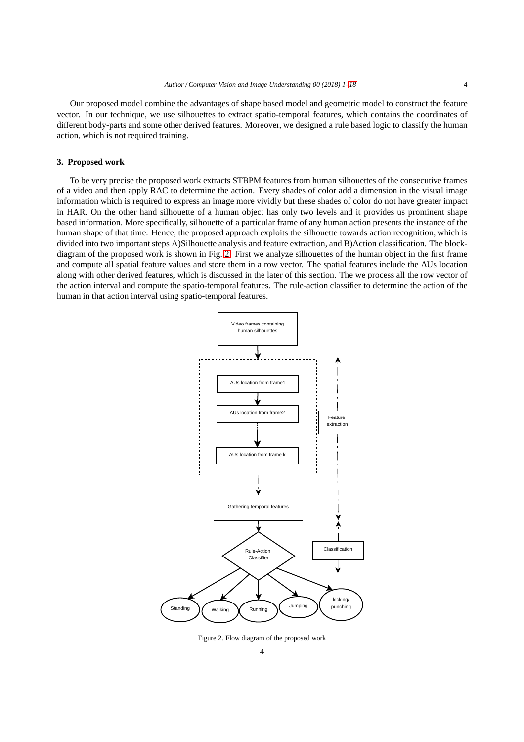Our proposed model combine the advantages of shape based model and geometric model to construct the feature vector. In our technique, we use silhouettes to extract spatio-temporal features, which contains the coordinates of different body-parts and some other derived features. Moreover, we designed a rule based logic to classify the human action, which is not required training.

## **3. Proposed work**

To be very precise the proposed work extracts STBPM features from human silhouettes of the consecutive frames of a video and then apply RAC to determine the action. Every shades of color add a dimension in the visual image information which is required to express an image more vividly but these shades of color do not have greater impact in HAR. On the other hand silhouette of a human object has only two levels and it provides us prominent shape based information. More specifically, silhouette of a particular frame of any human action presents the instance of the human shape of that time. Hence, the proposed approach exploits the silhouette towards action recognition, which is divided into two important steps A)Silhouette analysis and feature extraction, and B)Action classification. The blockdiagram of the proposed work is shown in Fig. [2.](#page-3-0) First we analyze silhouettes of the human object in the first frame and compute all spatial feature values and store them in a row vector. The spatial features include the AUs location along with other derived features, which is discussed in the later of this section. The we process all the row vector of the action interval and compute the spatio-temporal features. The rule-action classifier to determine the action of the human in that action interval using spatio-temporal features.



<span id="page-3-0"></span>Figure 2. Flow diagram of the proposed work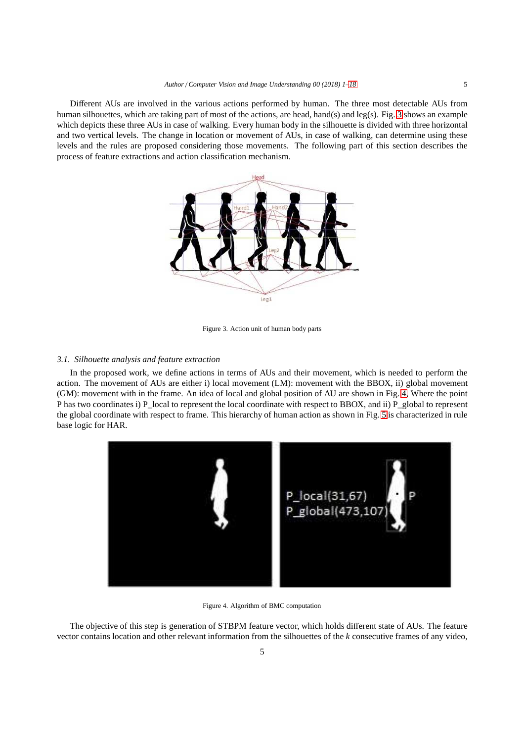Different AUs are involved in the various actions performed by human. The three most detectable AUs from human silhouettes, which are taking part of most of the actions, are head, hand(s) and leg(s). Fig. [3](#page-4-0) shows an example which depicts these three AUs in case of walking. Every human body in the silhouette is divided with three horizontal and two vertical levels. The change in location or movement of AUs, in case of walking, can determine using these levels and the rules are proposed considering those movements. The following part of this section describes the process of feature extractions and action classification mechanism.



<span id="page-4-0"></span>Figure 3. Action unit of human body parts

## *3.1. Silhouette analysis and feature extraction*

In the proposed work, we define actions in terms of AUs and their movement, which is needed to perform the action. The movement of AUs are either i) local movement (LM): movement with the BBOX, ii) global movement (GM): movement with in the frame. An idea of local and global position of AU are shown in Fig. [4,](#page-4-1) Where the point P has two coordinates i) P\_local to represent the local coordinate with respect to BBOX, and ii) P\_global to represent the global coordinate with respect to frame. This hierarchy of human action as shown in Fig. [5](#page-5-0) is characterized in rule base logic for HAR.



Figure 4. Algorithm of BMC computation

<span id="page-4-1"></span>The objective of this step is generation of STBPM feature vector, which holds different state of AUs. The feature vector contains location and other relevant information from the silhouettes of the *k* consecutive frames of any video,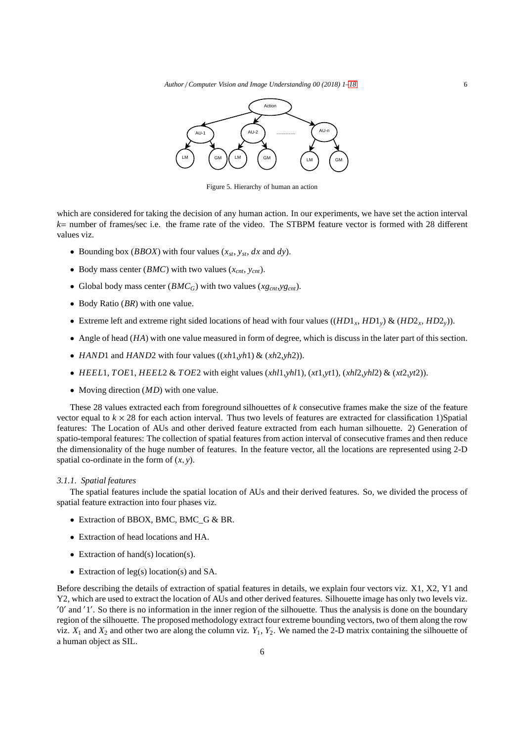*Author* / *Computer Vision and Image Understanding 00 (2018) 1[–18](#page-16-0)* 6



<span id="page-5-0"></span>Figure 5. Hierarchy of human an action

which are considered for taking the decision of any human action. In our experiments, we have set the action interval *k*= number of frames/sec i.e. the frame rate of the video. The STBPM feature vector is formed with 28 different values viz.

- Bounding box (*BBOX*) with four values  $(x_{st}, y_{st}, dx \text{ and } dy)$ .
- Body mass center (*BMC*) with two values (*xcnt*, *ycnt*).
- Global body mass center  $(BMC_G)$  with two values  $(xg_{cnt}, yg_{cnt})$ .
- Body Ratio (*BR*) with one value.
- Extreme left and extreme right sided locations of head with four values  $((HD1_x, HD1_y) \& (HD2_x, HD2_y))$ .
- Angle of head (*HA*) with one value measured in form of degree, which is discuss in the later part of this section.
- *HAND*1 and *HAND*2 with four values ((*xh*1,*yh*1) & (*xh*2,*yh*2)).
- *HEEL*1, *TOE*1, *HEEL*2 & *TOE*2 with eight values  $(xh/1, yh/1)$ ,  $(xt1, yt1)$ ,  $(xh/2, yh/2)$  &  $(xt2, yt2)$ ).
- Moving direction (*MD*) with one value.

These 28 values extracted each from foreground silhouettes of *k* consecutive frames make the size of the feature vector equal to  $k \times 28$  for each action interval. Thus two levels of features are extracted for classification 1)Spatial features: The Location of AUs and other derived feature extracted from each human silhouette. 2) Generation of spatio-temporal features: The collection of spatial features from action interval of consecutive frames and then reduce the dimensionality of the huge number of features. In the feature vector, all the locations are represented using 2-D spatial co-ordinate in the form of (*x*, *y*).

#### *3.1.1. Spatial features*

The spatial features include the spatial location of AUs and their derived features. So, we divided the process of spatial feature extraction into four phases viz.

- Extraction of BBOX, BMC, BMC G & BR.
- Extraction of head locations and HA.
- Extraction of hand(s) location(s).
- Extraction of leg(s) location(s) and SA.

Before describing the details of extraction of spatial features in details, we explain four vectors viz. X1, X2, Y1 and Y2, which are used to extract the location of AUs and other derived features. Silhouette image has only two levels viz. ′0 ′ and ′1 ′ . So there is no information in the inner region of the silhouette. Thus the analysis is done on the boundary region of the silhouette. The proposed methodology extract four extreme bounding vectors, two of them along the row viz.  $X_1$  and  $X_2$  and other two are along the column viz.  $Y_1$ ,  $Y_2$ . We named the 2-D matrix containing the silhouette of a human object as SIL.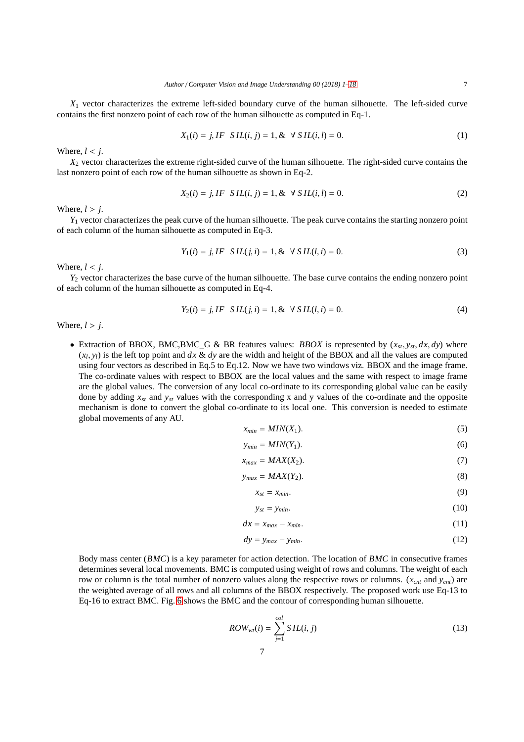*X*<sup>1</sup> vector characterizes the extreme left-sided boundary curve of the human silhouette. The left-sided curve contains the first nonzero point of each row of the human silhouette as computed in Eq-1.

$$
X_1(i) = j, IF \quad SIL(i, j) = 1, \& \forall \quad SL(i, l) = 0.
$$
 (1)

Where,  $l < i$ .

*X*<sup>2</sup> vector characterizes the extreme right-sided curve of the human silhouette. The right-sided curve contains the last nonzero point of each row of the human silhouette as shown in Eq-2.

$$
X_2(i) = j, IF \quad SIL(i, j) = 1, \& \forall \quad SL(i, l) = 0.
$$
 (2)

Where,  $l > j$ .

*Y*<sub>1</sub> vector characterizes the peak curve of the human silhouette. The peak curve contains the starting nonzero point of each column of the human silhouette as computed in Eq-3.

$$
Y_1(i) = j, IF \: SL( j, i ) = 1, \& \: \forall \: SL( l, i ) = 0. \tag{3}
$$

Where,  $l < j$ .

*Y*<sub>2</sub> vector characterizes the base curve of the human silhouette. The base curve contains the ending nonzero point of each column of the human silhouette as computed in Eq-4.

$$
Y_2(i) = j, IF \quad SIL(j, i) = 1, \& \forall \quad SIL(l, i) = 0.
$$
\n<sup>(4)</sup>

Where,  $l > j$ .

• Extraction of BBOX, BMC,BMC<sub></sub>G & BR features values: *BBOX* is represented by  $(x_{st}, y_{st}, dx, dy)$  where  $(x_l, y_l)$  is the left top point and  $dx \& dy$  are the width and height of the BBOX and all the values are computed using four vectors as described in Eq.5 to Eq.12. Now we have two windows viz. BBOX and the image frame. The co-ordinate values with respect to BBOX are the local values and the same with respect to image frame are the global values. The conversion of any local co-ordinate to its corresponding global value can be easily done by adding *xst* and *yst* values with the corresponding x and y values of the co-ordinate and the opposite mechanism is done to convert the global co-ordinate to its local one. This conversion is needed to estimate global movements of any AU.

$$
x_{min} = MIN(X_1). \tag{5}
$$

$$
y_{min} = MIN(Y_1). \tag{6}
$$

$$
x_{max} = MAX(X_2). \tag{7}
$$

$$
y_{max} = MAX(Y_2). \tag{8}
$$

$$
x_{st} = x_{min}.\tag{9}
$$

$$
y_{st} = y_{min}.\tag{10}
$$

$$
dx = x_{max} - x_{min}.\tag{11}
$$

$$
dy = y_{max} - y_{min}.\tag{12}
$$

Body mass center (*BMC*) is a key parameter for action detection. The location of *BMC* in consecutive frames determines several local movements. BMC is computed using weight of rows and columns. The weight of each row or column is the total number of nonzero values along the respective rows or columns. (*xcnt* and *ycnt*) are the weighted average of all rows and all columns of the BBOX respectively. The proposed work use Eq-13 to Eq-16 to extract BMC. Fig. [6](#page-8-0) shows the BMC and the contour of corresponding human silhouette.

$$
ROW_{wt}(i) = \sum_{j=1}^{col} SIL(i, j)
$$
\n(13)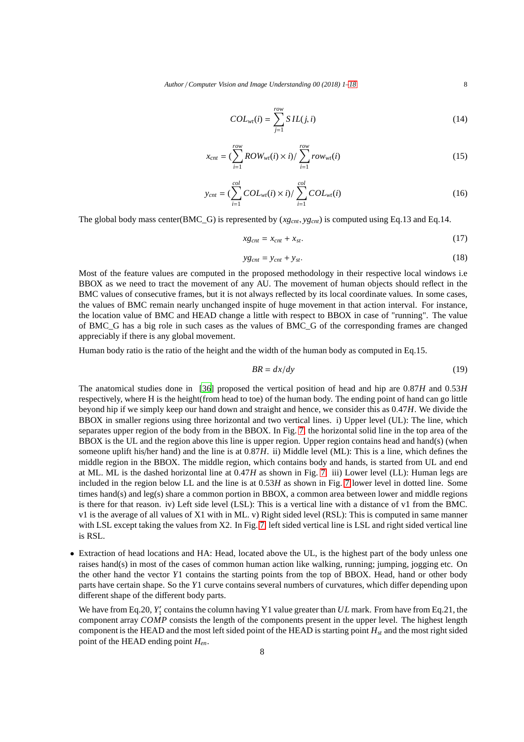*Author* / *Computer Vision and Image Understanding 00 (2018) 1[–18](#page-16-0)* 8

$$
COL_{wt}(i) = \sum_{j=1}^{row} SIL(j,i)
$$
\n(14)

$$
x_{cnt} = \left(\sum_{i=1}^{row} Row_{wt}(i) \times i\right) / \sum_{i=1}^{row} row_{wt}(i)
$$
\n(15)

$$
y_{cnt} = (\sum_{i=1}^{col} COL_{wt}(i) \times i) / \sum_{i=1}^{col} COL_{wt}(i)
$$
 (16)

The global body mass center(BMC G) is represented by  $(xg_{cnt}, yg_{cnt})$  is computed using Eq.13 and Eq.14.

$$
xg_{cnt} = x_{cnt} + x_{st}.\tag{17}
$$

$$
yg_{cnt} = y_{cnt} + y_{st}.\tag{18}
$$

Most of the feature values are computed in the proposed methodology in their respective local windows i.e BBOX as we need to tract the movement of any AU. The movement of human objects should reflect in the BMC values of consecutive frames, but it is not always reflected by its local coordinate values. In some cases, the values of BMC remain nearly unchanged inspite of huge movement in that action interval. For instance, the location value of BMC and HEAD change a little with respect to BBOX in case of "running". The value of BMC\_G has a big role in such cases as the values of BMC\_G of the corresponding frames are changed appreciably if there is any global movement.

Human body ratio is the ratio of the height and the width of the human body as computed in Eq.15.

$$
BR = dx/dy \tag{19}
$$

The anatomical studies done in [\[36\]](#page-17-20) proposed the vertical position of head and hip are 0.87*H* and 0.53*H* respectively, where H is the height(from head to toe) of the human body. The ending point of hand can go little beyond hip if we simply keep our hand down and straight and hence, we consider this as 0.47*H*. We divide the BBOX in smaller regions using three horizontal and two vertical lines. i) Upper level (UL): The line, which separates upper region of the body from in the BBOX. In Fig. [7,](#page-8-1) the horizontal solid line in the top area of the BBOX is the UL and the region above this line is upper region. Upper region contains head and hand(s) (when someone uplift his/her hand) and the line is at  $0.87H$ . ii) Middle level (ML): This is a line, which defines the middle region in the BBOX. The middle region, which contains body and hands, is started from UL and end at ML. ML is the dashed horizontal line at 0.47*H* as shown in Fig. [7.](#page-8-1) iii) Lower level (LL): Human legs are included in the region below LL and the line is at 0.53*H* as shown in Fig. [7](#page-8-1) lower level in dotted line. Some times hand(s) and leg(s) share a common portion in BBOX, a common area between lower and middle regions is there for that reason. iv) Left side level (LSL): This is a vertical line with a distance of v1 from the BMC. v1 is the average of all values of X1 with in ML. v) Right sided level (RSL): This is computed in same manner with LSL except taking the values from X2. In Fig. [7,](#page-8-1) left sided vertical line is LSL and right sided vertical line is RSL.

• Extraction of head locations and HA: Head, located above the UL, is the highest part of the body unless one raises hand(s) in most of the cases of common human action like walking, running; jumping, jogging etc. On the other hand the vector *Y*1 contains the starting points from the top of BBOX. Head, hand or other body parts have certain shape. So the *Y*1 curve contains several numbers of curvatures, which differ depending upon different shape of the different body parts.

We have from Eq.20, *Y*<sup>'</sup><sub>1</sub> contains the column having Y1 value greater than *UL* mark. From have from Eq.21, the component array *COMP* consists the length of the components present in the upper level. The highest length component is the HEAD and the most left sided point of the HEAD is starting point *Hst* and the most right sided point of the HEAD ending point *Hen*.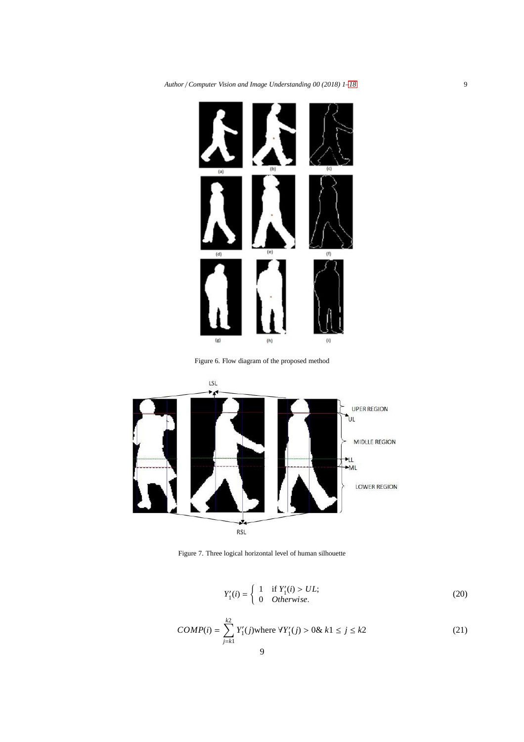

Figure 6. Flow diagram of the proposed method

<span id="page-8-0"></span>

<span id="page-8-1"></span>Figure 7. Three logical horizontal level of human silhouette

$$
Y'_{1}(i) = \begin{cases} 1 & \text{if } Y'_{1}(i) > UL; \\ 0 & \text{Otherwise.} \end{cases}
$$
 (20)

$$
COMP(i) = \sum_{j=k1}^{k2} Y'_1(j) \text{ where } \forall Y'_1(j) > 0 \& k1 \le j \le k2
$$
\n(21)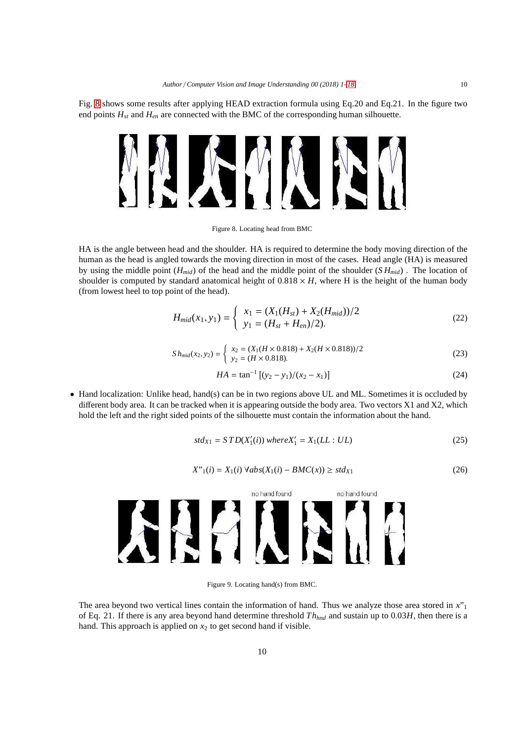Fig. [8](#page-9-0) shows some results after applying HEAD extraction formula using Eq.20 and Eq.21. In the figure two end points *Hst* and *Hen* are connected with the BMC of the corresponding human silhouette.



Figure 8. Locating head from BMC

HA is the angle between head and the shoulder. HA is required to determine the body moving direction of the human as the head is angled towards the moving direction in most of the cases. Head angle (HA) is measured by using the middle point (*Hmid*) of the head and the middle point of the shoulder (*S Hmid*) . The location of shoulder is computed by standard anatomical height of  $0.818 \times H$ , where H is the height of the human body (from lowest heel to top point of the head).

<span id="page-9-0"></span>
$$
H_{mid}(x_1, y_1) = \begin{cases} x_1 = (X_1(H_{st}) + X_2(H_{mid}))/2\\ y_1 = (H_{st} + H_{en})/2). \end{cases}
$$
 (22)

$$
Sh_{mid}(x_2, y_2) = \begin{cases} x_2 = (X_1(H \times 0.818) + X_2(H \times 0.818))/2 \\ y_2 = (H \times 0.818). \end{cases}
$$
 (23)

$$
HA = \tan^{-1} \left[ (y_2 - y_1)/(x_2 - x_1) \right] \tag{24}
$$

• Hand localization: Unlike head, hand(s) can be in two regions above UL and ML. Sometimes it is occluded by different body area. It can be tracked when it is appearing outside the body area. Two vectors X1 and X2, which hold the left and the right sided points of the silhouette must contain the information about the hand.

$$
std_{X1} = STD(X'_{1}(i)) \text{ where } X'_{1} = X_{1}(LL : UL)
$$
\n(25)

$$
X''_1(i) = X_1(i) \,\forall abs(X_1(i) - BMC(x)) \ge std_{X1}
$$
\n(26)



Figure 9. Locating hand(s) from BMC.

The area beyond two vertical lines contain the information of hand. Thus we analyze those area stored in *x*"<sup>1</sup> of Eq. 21. If there is any area beyond hand determine threshold  $Th_{hnd}$  and sustain up to 0.03*H*, then there is a hand. This approach is applied on  $x_2$  to get second hand if visible.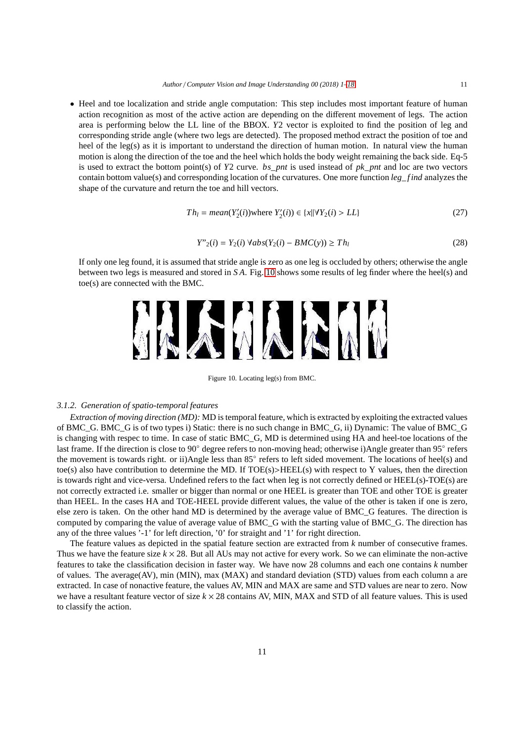• Heel and toe localization and stride angle computation: This step includes most important feature of human action recognition as most of the active action are depending on the different movement of legs. The action area is performing below the LL line of the BBOX. *Y*2 vector is exploited to find the position of leg and corresponding stride angle (where two legs are detected). The proposed method extract the position of toe and heel of the leg(s) as it is important to understand the direction of human motion. In natural view the human motion is along the direction of the toe and the heel which holds the body weight remaining the back side. Eq-5 is used to extract the bottom point(s) of *Y*2 curve. *bs*\_*pnt* is used instead of *pk*\_*pnt* and loc are two vectors contain bottom value(s) and corresponding location of the curvatures. One more function *leg*\_ *f ind* analyzes the shape of the curvature and return the toe and hill vectors.

$$
Th_l = mean(Y_2'(i)) \text{where } Y_2'(i) \in \{x | \forall Y_2(i) > LL\}
$$
\n(27)

$$
Y''_2(i) = Y_2(i) \,\forall ab s (Y_2(i) - BMC(y)) \ge Th_l \tag{28}
$$

If only one leg found, it is assumed that stride angle is zero as one leg is occluded by others; otherwise the angle between two legs is measured and stored in *S A*. Fig. [10](#page-10-0) shows some results of leg finder where the heel(s) and toe(s) are connected with the BMC.



<span id="page-10-0"></span>Figure 10. Locating leg(s) from BMC.

## *3.1.2. Generation of spatio-temporal features*

*Extraction of moving direction (MD):* MD is temporal feature, which is extracted by exploiting the extracted values of BMC\_G. BMC\_G is of two types i) Static: there is no such change in BMC\_G, ii) Dynamic: The value of BMC\_G is changing with respec to time. In case of static BMC\_G, MD is determined using HA and heel-toe locations of the last frame. If the direction is close to 90° degree refers to non-moving head; otherwise i)Angle greater than 95° refers the movement is towards right. or ii)Angle less than 85° refers to left sided movement. The locations of heel(s) and toe(s) also have contribution to determine the MD. If  $TOE(s) > HEEL(s)$  with respect to Y values, then the direction is towards right and vice-versa. Undefined refers to the fact when leg is not correctly defined or HEEL(s)-TOE(s) are not correctly extracted i.e. smaller or bigger than normal or one HEEL is greater than TOE and other TOE is greater than HEEL. In the cases HA and TOE-HEEL provide different values, the value of the other is taken if one is zero, else zero is taken. On the other hand MD is determined by the average value of BMC\_G features. The direction is computed by comparing the value of average value of BMC\_G with the starting value of BMC\_G. The direction has any of the three values '-1' for left direction, '0' for straight and '1' for right direction.

The feature values as depicted in the spatial feature section are extracted from *k* number of consecutive frames. Thus we have the feature size  $k \times 28$ . But all AUs may not active for every work. So we can eliminate the non-active features to take the classification decision in faster way. We have now 28 columns and each one contains *k* number of values. The average(AV), min (MIN), max (MAX) and standard deviation (STD) values from each column a are extracted. In case of nonactive feature, the values AV, MIN and MAX are same and STD values are near to zero. Now we have a resultant feature vector of size  $k \times 28$  contains AV, MIN, MAX and STD of all feature values. This is used to classify the action.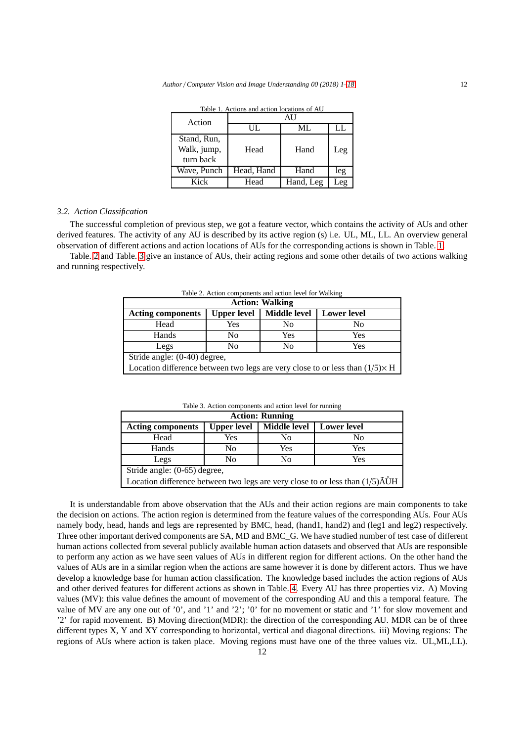| and action rocations of TW |            |           |         |  |  |  |  |
|----------------------------|------------|-----------|---------|--|--|--|--|
| Action                     |            |           |         |  |  |  |  |
|                            | $\Pi$      | ML        | LL.     |  |  |  |  |
| Stand, Run,                |            |           |         |  |  |  |  |
| Walk, jump,                | Head       | Hand      | Leg     |  |  |  |  |
| turn back                  |            |           |         |  |  |  |  |
| Wave, Punch                | Head, Hand | Hand      | leg     |  |  |  |  |
| Kick                       | Head       | Hand, Leg | $_{ee}$ |  |  |  |  |

<span id="page-11-0"></span>Table 1. Actions and action locations of AU

#### *3.2. Action Classification*

The successful completion of previous step, we got a feature vector, which contains the activity of AUs and other derived features. The activity of any AU is described by its active region (s) i.e. UL, ML, LL. An overview general observation of different actions and action locations of AUs for the corresponding actions is shown in Table. [1.](#page-11-0)

Table. [2](#page-11-1) and Table. [3](#page-11-2) give an instance of AUs, their acting regions and some other details of two actions walking and running respectively.

| Table 2. Action components and action level for waiking                              |                    |                     |                    |  |  |  |  |  |
|--------------------------------------------------------------------------------------|--------------------|---------------------|--------------------|--|--|--|--|--|
| <b>Action: Walking</b>                                                               |                    |                     |                    |  |  |  |  |  |
| <b>Acting components</b>                                                             | <b>Upper level</b> | <b>Middle level</b> | <b>Lower level</b> |  |  |  |  |  |
| Head                                                                                 | Yes                | No                  | No                 |  |  |  |  |  |
| Hands                                                                                | No                 | Yes                 | Yes                |  |  |  |  |  |
| Legs                                                                                 | No                 | N <sub>0</sub>      | Yes                |  |  |  |  |  |
| Stride angle: (0-40) degree,                                                         |                    |                     |                    |  |  |  |  |  |
| Location difference between two legs are very close to or less than $(1/5) \times H$ |                    |                     |                    |  |  |  |  |  |

<span id="page-11-1"></span>Table 2. Action components and action level for Walking

| <b>Action: Running</b>                                                                         |                    |                     |                    |  |  |  |  |
|------------------------------------------------------------------------------------------------|--------------------|---------------------|--------------------|--|--|--|--|
| <b>Acting components</b>                                                                       | <b>Upper level</b> | <b>Middle level</b> | <b>Lower</b> level |  |  |  |  |
| Head                                                                                           | Yes                | No                  | No                 |  |  |  |  |
| Hands                                                                                          | No                 | Yes                 | Yes                |  |  |  |  |
| Legs                                                                                           | No                 | No                  | Yes                |  |  |  |  |
| Stride angle: (0-65) degree,                                                                   |                    |                     |                    |  |  |  |  |
| Location difference between two legs are very close to or less than $(1/5)\tilde{A}\tilde{U}H$ |                    |                     |                    |  |  |  |  |

<span id="page-11-2"></span>Table 3. Action components and action level for running

It is understandable from above observation that the AUs and their action regions are main components to take the decision on actions. The action region is determined from the feature values of the corresponding AUs. Four AUs namely body, head, hands and legs are represented by BMC, head, (hand1, hand2) and (leg1 and leg2) respectively. Three other important derived components are SA, MD and BMC\_G. We have studied number of test case of different human actions collected from several publicly available human action datasets and observed that AUs are responsible to perform any action as we have seen values of AUs in different region for different actions. On the other hand the values of AUs are in a similar region when the actions are same however it is done by different actors. Thus we have develop a knowledge base for human action classification. The knowledge based includes the action regions of AUs and other derived features for different actions as shown in Table. [4.](#page-12-0) Every AU has three properties viz. A) Moving values (MV): this value defines the amount of movement of the corresponding AU and this a temporal feature. The value of MV are any one out of '0', and '1' and '2'; '0' for no movement or static and '1' for slow movement and '2' for rapid movement. B) Moving direction(MDR): the direction of the corresponding AU. MDR can be of three different types X, Y and XY corresponding to horizontal, vertical and diagonal directions. iii) Moving regions: The regions of AUs where action is taken place. Moving regions must have one of the three values viz. UL,ML,LL).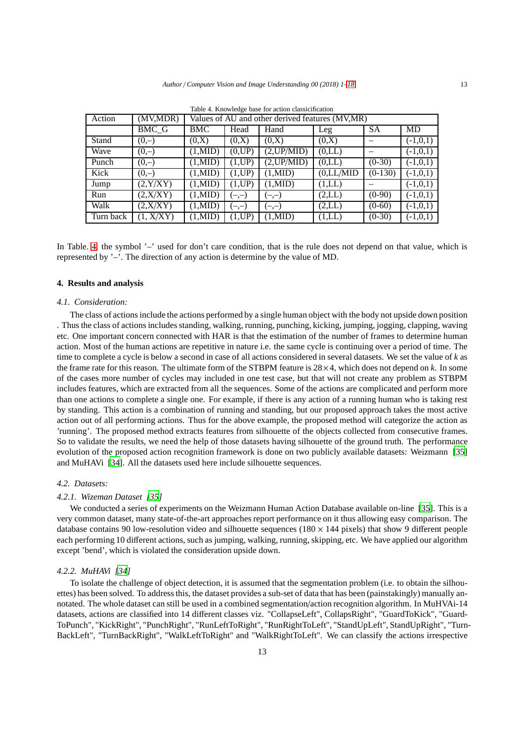| Action    | (MV,MDR)  |                   | Values of AU and other derived features (MV,MR) |                   |            |           |            |  |
|-----------|-----------|-------------------|-------------------------------------------------|-------------------|------------|-----------|------------|--|
|           | BMC_G     | <b>BMC</b>        | Head                                            | Hand              | Leg        | <b>SA</b> | MD         |  |
| Stand     | $(0,-)$   | (0,X)             | (0,X)                                           | (0,X)             | (0,X)      |           | $(-1,0,1)$ |  |
| Wave      | $(0,-)$   | $(1, \text{MID})$ | (0,UP)                                          | (2,UP/MID)        | (0,LL)     |           | $(-1,0,1)$ |  |
| Punch     | $(0,-)$   | $(1, \text{MID})$ | (1,UP)                                          | (2,UP/MID)        | (0,LL)     | $(0-30)$  | $(-1,0,1)$ |  |
| Kick      | $(0,-)$   | $(1, \text{MID})$ | (1,UP)                                          | $(1, \text{MID})$ | (0,LL/MID) | $(0-130)$ | $(-1,0,1)$ |  |
| Jump      | (2, Y/XY) | $(1, \text{MID})$ | (1,UP)                                          | $(1, \text{MID})$ | (1,LL)     |           | $(-1,0,1)$ |  |
| Run       | (2, X/XY) | $(1, \text{MID})$ | $(-,-)$                                         | $(-,-)$           | (2,LL)     | $(0-90)$  | $(-1,0,1)$ |  |
| Walk      | (2, X/XY) | $(1, \text{MID})$ | $(-,-)$                                         | $(-,-)$           | (2,LL)     | $(0-60)$  | $(-1,0,1)$ |  |
| Turn back | (1, X/XY) | $(1, \text{MID})$ | (1,UP)                                          | $(1, \text{MID})$ | (1,LL)     | $(0-30)$  | $(-1,0,1)$ |  |

<span id="page-12-0"></span>Table 4. Knowledge base for action classicification

In Table. [4,](#page-12-0) the symbol '-' used for don't care condition, that is the rule does not depend on that value, which is represented by '–'. The direction of any action is determine by the value of MD.

## **4. Results and analysis**

#### *4.1. Consideration:*

The class of actions include the actions performed by a single human object with the body not upside down position . Thus the class of actions includes standing, walking, running, punching, kicking, jumping, jogging, clapping, waving etc. One important concern connected with HAR is that the estimation of the number of frames to determine human action. Most of the human actions are repetitive in nature i.e. the same cycle is continuing over a period of time. The time to complete a cycle is below a second in case of all actions considered in several datasets. We set the value of *k* as the frame rate for this reason. The ultimate form of the STBPM feature is  $28 \times 4$ , which does not depend on  $k$ . In some of the cases more number of cycles may included in one test case, but that will not create any problem as STBPM includes features, which are extracted from all the sequences. Some of the actions are complicated and perform more than one actions to complete a single one. For example, if there is any action of a running human who is taking rest by standing. This action is a combination of running and standing, but our proposed approach takes the most active action out of all performing actions. Thus for the above example, the proposed method will categorize the action as 'running'. The proposed method extracts features from silhouette of the objects collected from consecutive frames. So to validate the results, we need the help of those datasets having silhouette of the ground truth. The performance evolution of the proposed action recognition framework is done on two publicly available datasets: Weizmann [\[35\]](#page-17-21) and MuHAVi [\[34\]](#page-17-22). All the datasets used here include silhouette sequences.

## *4.2. Datasets:*

#### *4.2.1. Wizeman Dataset [\[35](#page-17-21)]*

We conducted a series of experiments on the Weizmann Human Action Database available on-line [\[35](#page-17-21)]. This is a very common dataset, many state-of-the-art approaches report performance on it thus allowing easy comparison. The database contains 90 low-resolution video and silhouette sequences ( $180 \times 144$  pixels) that show 9 different people each performing 10 different actions, such as jumping, walking, running, skipping, etc. We have applied our algorithm except 'bend', which is violated the consideration upside down.

#### *4.2.2. MuHAVi [\[34](#page-17-22)]*

To isolate the challenge of object detection, it is assumed that the segmentation problem (i.e. to obtain the silhouettes) has been solved. To address this, the dataset provides a sub-set of data that has been (painstakingly) manually annotated. The whole dataset can still be used in a combined segmentation/action recognition algorithm. In MuHVAi-14 datasets, actions are classified into 14 different classes viz. "CollapseLeft", CollapsRight", "GuardToKick", "Guard-ToPunch", "KickRight", "PunchRight", "RunLeftToRight", "RunRightToLeft", "StandUpLeft", StandUpRight", "Turn-BackLeft", "TurnBackRight", "WalkLeftToRight" and "WalkRightToLeft". We can classify the actions irrespective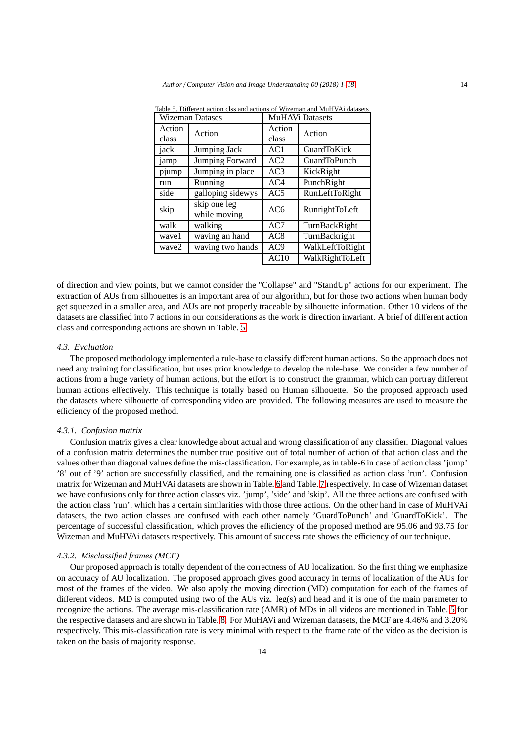|                 | <b>Wizeman Datases</b>       | <b>MuHAVi Datasets</b> |                     |  |
|-----------------|------------------------------|------------------------|---------------------|--|
| Action<br>class | Action                       | Action<br>class        | Action              |  |
| jack            | Jumping Jack                 | AC1                    | <b>GuardToKick</b>  |  |
| jamp            | <b>Jumping Forward</b>       | AC2                    | <b>GuardToPunch</b> |  |
| pjump           | Jumping in place             | AC <sub>3</sub>        | KickRight           |  |
| run             | Running                      | AC4                    | PunchRight          |  |
| side            | galloping sidewys            | AC5                    | RunLeftToRight      |  |
| skip            | skip one leg<br>while moving | AC6                    | RunrightToLeft      |  |
| walk            | walking                      | AC7                    | TurnBackRight       |  |
| wave1           | waving an hand               | AC <sub>8</sub>        | TurnBackright       |  |
| wave2           | waving two hands             | AC9                    | WalkLeftToRight     |  |
|                 |                              | AC10                   | WalkRightToLeft     |  |

<span id="page-13-0"></span>Table 5. Different action clss and actions of Wizeman and MuHVAi datasets

of direction and view points, but we cannot consider the "Collapse" and "StandUp" actions for our experiment. The extraction of AUs from silhouettes is an important area of our algorithm, but for those two actions when human body get squeezed in a smaller area, and AUs are not properly traceable by silhouette information. Other 10 videos of the datasets are classified into 7 actions in our considerations as the work is direction invariant. A brief of different action class and corresponding actions are shown in Table. [5.](#page-13-0)

## *4.3. Evaluation*

The proposed methodology implemented a rule-base to classify different human actions. So the approach does not need any training for classification, but uses prior knowledge to develop the rule-base. We consider a few number of actions from a huge variety of human actions, but the effort is to construct the grammar, which can portray different human actions effectively. This technique is totally based on Human silhouette. So the proposed approach used the datasets where silhouette of corresponding video are provided. The following measures are used to measure the efficiency of the proposed method.

## *4.3.1. Confusion matrix*

Confusion matrix gives a clear knowledge about actual and wrong classification of any classifier. Diagonal values of a confusion matrix determines the number true positive out of total number of action of that action class and the values other than diagonal values define the mis-classification. For example, as in table-6 in case of action class 'jump' '8' out of '9' action are successfully classified, and the remaining one is classified as action class 'run'. Confusion matrix for Wizeman and MuHVAi datasets are shown in Table. [6](#page-14-0) and Table. [7](#page-14-1) respectively. In case of Wizeman dataset we have confusions only for three action classes viz. 'jump', 'side' and 'skip'. All the three actions are confused with the action class 'run', which has a certain similarities with those three actions. On the other hand in case of MuHVAi datasets, the two action classes are confused with each other namely 'GuardToPunch' and 'GuardToKick'. The percentage of successful classification, which proves the efficiency of the proposed method are 95.06 and 93.75 for Wizeman and MuHVAi datasets respectively. This amount of success rate shows the efficiency of our technique.

#### *4.3.2. Misclassified frames (MCF)*

Our proposed approach is totally dependent of the correctness of AU localization. So the first thing we emphasize on accuracy of AU localization. The proposed approach gives good accuracy in terms of localization of the AUs for most of the frames of the video. We also apply the moving direction (MD) computation for each of the frames of different videos. MD is computed using two of the AUs viz. leg(s) and head and it is one of the main parameter to recognize the actions. The average mis-classification rate (AMR) of MDs in all videos are mentioned in Table. [5](#page-13-0) for the respective datasets and are shown in Table. [8.](#page-14-2) For MuHAVi and Wizeman datasets, the MCF are 4.46% and 3.20% respectively. This mis-classification rate is very minimal with respect to the frame rate of the video as the decision is taken on the basis of majority response.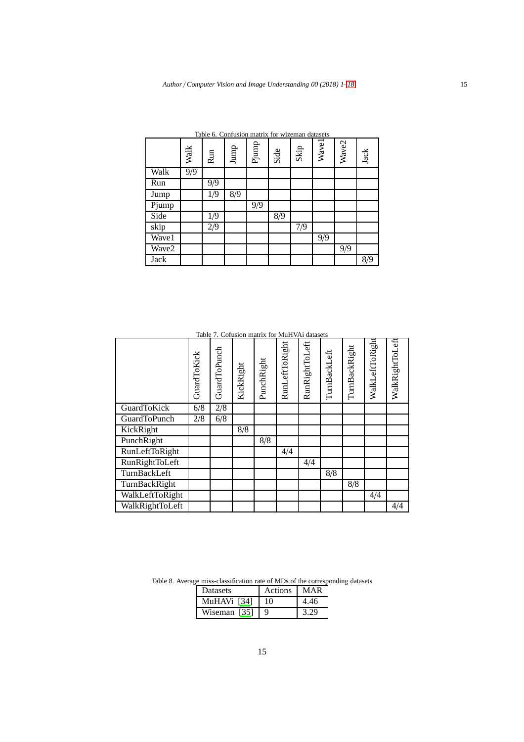|       | Walk             | Run | Jump | Pjump | Side | Skip | <b>Wavel</b> | Wave2 | Jack |
|-------|------------------|-----|------|-------|------|------|--------------|-------|------|
| Walk  | $\overline{9/9}$ |     |      |       |      |      |              |       |      |
| Run   |                  | 9/9 |      |       |      |      |              |       |      |
| Jump  |                  | 1/9 | 8/9  |       |      |      |              |       |      |
| Pjump |                  |     |      | 9/9   |      |      |              |       |      |
| Side  |                  | 1/9 |      |       | 8/9  |      |              |       |      |
| skip  |                  | 2/9 |      |       |      | 7/9  |              |       |      |
| Wave1 |                  |     |      |       |      |      | 9/9          |       |      |
| Wave2 |                  |     |      |       |      |      |              | 9/9   |      |
| Jack  |                  |     |      |       |      |      |              |       | 8/9  |

<span id="page-14-0"></span>Table 6. Confusion matrix for wizeman datasets

<span id="page-14-1"></span>

| Table 7. Cofusion matrix for MuHVAi datasets |  |
|----------------------------------------------|--|
|----------------------------------------------|--|

|                       | GuardToKick | GuardToPunch | KickRight | PunchRight | RunLeftToRight | RunRightToLeft | TurnBackLeft | TurnBackRight | WalkLeftToRight | WalkRightToLeft |
|-----------------------|-------------|--------------|-----------|------------|----------------|----------------|--------------|---------------|-----------------|-----------------|
| GuardToKick           | 6/8         | 2/8          |           |            |                |                |              |               |                 |                 |
| <b>GuardToPunch</b>   | 2/8         | 6/8          |           |            |                |                |              |               |                 |                 |
| KickRight             |             |              | 8/8       |            |                |                |              |               |                 |                 |
| PunchRight            |             |              |           | 8/8        |                |                |              |               |                 |                 |
| <b>RunLeftToRight</b> |             |              |           |            | 4/4            |                |              |               |                 |                 |
| RunRightToLeft        |             |              |           |            |                | 4/4            |              |               |                 |                 |
| TurnBackLeft          |             |              |           |            |                |                | 8/8          |               |                 |                 |
| TurnBackRight         |             |              |           |            |                |                |              | 8/8           |                 |                 |
| WalkLeftToRight       |             |              |           |            |                |                |              |               | 4/4             |                 |
| WalkRightToLeft       |             |              |           |            |                |                |              |               |                 | 4/4             |

Table 8. Average miss-classification rate of MDs of the corresponding datasets

<span id="page-14-2"></span>

| <b>Datasets</b> | Actions | MAR  |
|-----------------|---------|------|
| MuHAVi [34]     | 10      | 4.46 |
| Wiseman [35]    |         | 3.20 |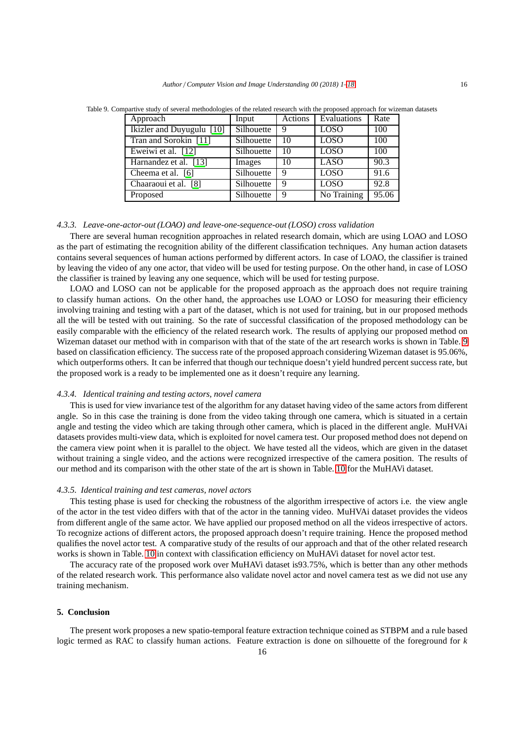<span id="page-15-0"></span>

| Approach                  | Input      | Actions | Evaluations | Rate |
|---------------------------|------------|---------|-------------|------|
| Ikizler and Duyugulu [10] | Silhouette | 9       | LOSO        | 100  |
| Tran and Sorokin [11]     | Silhouette | 10      | <b>LOSO</b> | 100  |
| Eweiwi et al. [12]        | Silhouette | 10      | LOSO        | 100  |
| Harnandez et al. [13]     | Images     | 10      | <b>LASO</b> | 90.3 |
| Cheema et al. [6]         | Silhouette |         | LOSO        | 91.6 |
| Chaaraoui et al. [8]      | Silhouette |         | <b>LOSO</b> | 92.8 |

Table 9. Compartive study of several methodologies of the related research with the proposed approach for wizeman datasets

## *4.3.3. Leave-one-actor-out (LOAO) and leave-one-sequence-out (LOSO) cross validation*

There are several human recognition approaches in related research domain, which are using LOAO and LOSO as the part of estimating the recognition ability of the different classification techniques. Any human action datasets contains several sequences of human actions performed by different actors. In case of LOAO, the classifier is trained by leaving the video of any one actor, that video will be used for testing purpose. On the other hand, in case of LOSO the classifier is trained by leaving any one sequence, which will be used for testing purpose.

Proposed Silhouette 9 No Training 95.06

LOAO and LOSO can not be applicable for the proposed approach as the approach does not require training to classify human actions. On the other hand, the approaches use LOAO or LOSO for measuring their efficiency involving training and testing with a part of the dataset, which is not used for training, but in our proposed methods all the will be tested with out training. So the rate of successful classification of the proposed methodology can be easily comparable with the efficiency of the related research work. The results of applying our proposed method on Wizeman dataset our method with in comparison with that of the state of the art research works is shown in Table. [9](#page-15-0) based on classification efficiency. The success rate of the proposed approach considering Wizeman dataset is 95.06%, which outperforms others. It can be inferred that though our technique doesn't yield hundred percent success rate, but the proposed work is a ready to be implemented one as it doesn't require any learning.

#### *4.3.4. Identical training and testing actors, novel camera*

This is used for view invariance test of the algorithm for any dataset having video of the same actors from different angle. So in this case the training is done from the video taking through one camera, which is situated in a certain angle and testing the video which are taking through other camera, which is placed in the different angle. MuHVAi datasets provides multi-view data, which is exploited for novel camera test. Our proposed method does not depend on the camera view point when it is parallel to the object. We have tested all the videos, which are given in the dataset without training a single video, and the actions were recognized irrespective of the camera position. The results of our method and its comparison with the other state of the art is shown in Table. [10](#page-16-12) for the MuHAVi dataset.

## *4.3.5. Identical training and test cameras, novel actors*

This testing phase is used for checking the robustness of the algorithm irrespective of actors i.e. the view angle of the actor in the test video differs with that of the actor in the tanning video. MuHVAi dataset provides the videos from different angle of the same actor. We have applied our proposed method on all the videos irrespective of actors. To recognize actions of different actors, the proposed approach doesn't require training. Hence the proposed method qualifies the novel actor test. A comparative study of the results of our approach and that of the other related research works is shown in Table. [10](#page-16-12) in context with classification efficiency on MuHAVi dataset for novel actor test.

The accuracy rate of the proposed work over MuHAVi dataset is93.75%, which is better than any other methods of the related research work. This performance also validate novel actor and novel camera test as we did not use any training mechanism.

## **5. Conclusion**

The present work proposes a new spatio-temporal feature extraction technique coined as STBPM and a rule based logic termed as RAC to classify human actions. Feature extraction is done on silhouette of the foreground for *k*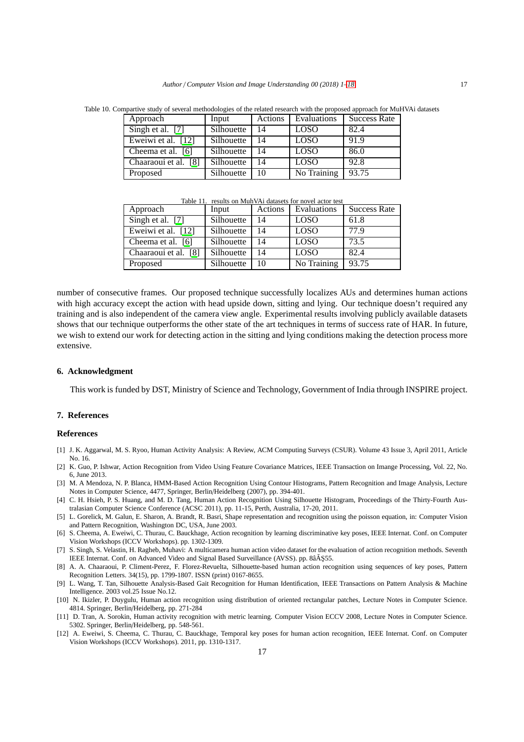<span id="page-16-12"></span>

| Approach             | Input      | Actions | Evaluations | <b>Success Rate</b> |  |
|----------------------|------------|---------|-------------|---------------------|--|
| Singh et al. [7]     | Silhouette | 14      | <b>LOSO</b> | 82.4                |  |
| Eweiwi et al. [12]   | Silhouette | 14      | <b>LOSO</b> | 91.9                |  |
| Cheema et al. [6]    | Silhouette | 14      | <b>LOSO</b> | 86.0                |  |
| Chaaraoui et al. [8] | Silhouette | 14      | <b>LOSO</b> | 92.8                |  |
| Proposed             | Silhouette |         | No Training | 93.75               |  |

Table 10. Compartive study of several methodologies of the related research with the proposed approach for MuHVAi datasets

Table 11. results on MuhVAi datasets for novel actor test

| Approach             | Input      | Actions | Evaluations | <b>Success Rate</b> |
|----------------------|------------|---------|-------------|---------------------|
| Singh et al. [7]     | Silhouette | 14      | LOSO        | 61.8                |
| Eweiwi et al. [12]   | Silhouette | 14      | <b>LOSO</b> | 77.9                |
| Cheema et al. [6]    | Silhouette | 14      | <b>LOSO</b> | 73.5                |
| Chaaraoui et al. [8] | Silhouette | 14      | <b>LOSO</b> | 82.4                |
| Proposed             | Silhouette | 10      | No Training | 93.75               |

number of consecutive frames. Our proposed technique successfully localizes AUs and determines human actions with high accuracy except the action with head upside down, sitting and lying. Our technique doesn't required any training and is also independent of the camera view angle. Experimental results involving publicly available datasets shows that our technique outperforms the other state of the art techniques in terms of success rate of HAR. In future, we wish to extend our work for detecting action in the sitting and lying conditions making the detection process more extensive.

### **6. Acknowledgment**

This work is funded by DST, Ministry of Science and Technology, Government of India through INSPIRE project.

## **7. References**

## <span id="page-16-0"></span>**References**

- <span id="page-16-2"></span>[1] J. K. Aggarwal, M. S. Ryoo, Human Activity Analysis: A Review, ACM Computing Surveys (CSUR). Volume 43 Issue 3, April 2011, Article No. 16.
- <span id="page-16-1"></span>[2] K. Guo, P. Ishwar, Action Recognition from Video Using Feature Covariance Matrices, IEEE Transaction on Imange Processing, Vol. 22, No. 6, June 2013.
- <span id="page-16-3"></span>[3] M. A Mendoza, N. P. Blanca, HMM-Based Action Recognition Using Contour Histograms, Pattern Recognition and Image Analysis, Lecture Notes in Computer Science, 4477, Springer, Berlin/Heidelberg (2007), pp. 394-401.
- <span id="page-16-4"></span>[4] C. H. Hsieh, P. S. Huang, and M. D. Tang, Human Action Recognition Using Silhouette Histogram, Proceedings of the Thirty-Fourth Australasian Computer Science Conference (ACSC 2011), pp. 11-15, Perth, Australia, 17-20, 2011.
- <span id="page-16-5"></span>[5] L. Gorelick, M. Galun, E. Sharon, A. Brandt, R. Basri, Shape representation and recognition using the poisson equation, in: Computer Vision and Pattern Recognition, Washington DC, USA, June 2003.
- <span id="page-16-10"></span>[6] S. Cheema, A. Eweiwi, C. Thurau, C. Bauckhage, Action recognition by learning discriminative key poses, IEEE Internat. Conf. on Computer Vision Workshops (ICCV Workshops). pp. 1302-1309.
- <span id="page-16-13"></span>[7] S. Singh, S. Velastin, H. Ragheb, Muhavi: A multicamera human action video dataset for the evaluation of action recognition methods. Seventh IEEE Internat. Conf. on Advanced Video and Signal Based Surveillance (AVSS). pp. 8âÅŞ55.
- <span id="page-16-11"></span>[8] A. A. Chaaraoui, P. Climent-Perez, F. Florez-Revuelta, Silhouette-based human action recognition using sequences of key poses, Pattern Recognition Letters. 34(15), pp. 1799-1807. ISSN (print) 0167-8655.
- <span id="page-16-6"></span>[9] L. Wang, T. Tan, Silhouette Analysis-Based Gait Recognition for Human Identification, IEEE Transactions on Pattern Analysis & Machine Intelligence. 2003 vol.25 Issue No.12.
- <span id="page-16-7"></span>[10] N. Ikizler, P. Duygulu, Human action recognition using distribution of oriented rectangular patches, Lecture Notes in Computer Science. 4814. Springer, Berlin/Heidelberg, pp. 271-284
- <span id="page-16-8"></span>[11] D. Tran, A. Sorokin, Human activity recognition with metric learning. Computer Vision ECCV 2008, Lecture Notes in Computer Science. 5302. Springer, Berlin/Heidelberg, pp. 548-561.
- <span id="page-16-9"></span>[12] A. Eweiwi, S. Cheema, C. Thurau, C. Bauckhage, Temporal key poses for human action recognition, IEEE Internat. Conf. on Computer Vision Workshops (ICCV Workshops). 2011, pp. 1310-1317.